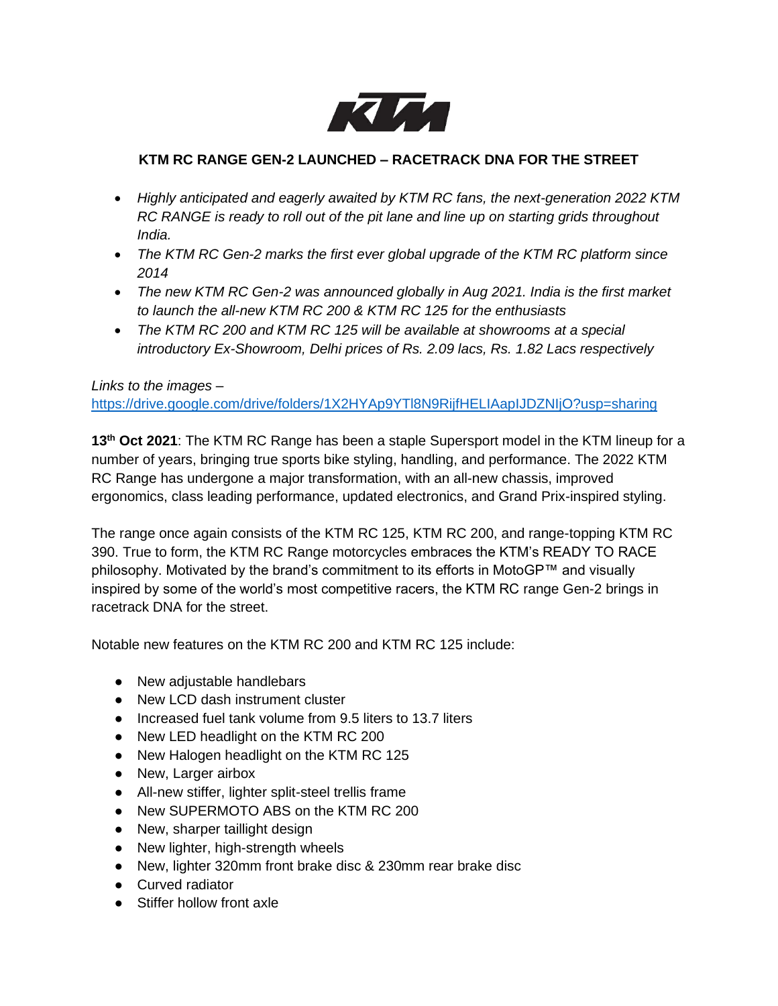

## **KTM RC RANGE GEN-2 LAUNCHED – RACETRACK DNA FOR THE STREET**

- *Highly anticipated and eagerly awaited by KTM RC fans, the next-generation 2022 KTM RC RANGE is ready to roll out of the pit lane and line up on starting grids throughout India.*
- *The KTM RC Gen-2 marks the first ever global upgrade of the KTM RC platform since 2014*
- *The new KTM RC Gen-2 was announced globally in Aug 2021. India is the first market to launch the all-new KTM RC 200 & KTM RC 125 for the enthusiasts*
- *The KTM RC 200 and KTM RC 125 will be available at showrooms at a special introductory Ex-Showroom, Delhi prices of Rs. 2.09 lacs, Rs. 1.82 Lacs respectively*

## *Links to the images –*

[https://drive.google.com/drive/folders/1X2HYAp9YTl8N9RijfHELIAapIJDZNIjO?usp=sharing](https://urldefense.com/v3/__https:/drive.google.com/drive/folders/1X2HYAp9YTl8N9RijfHELIAapIJDZNIjO?usp=sharing__;!!HhhKMSGjjQV-!tTb5SGkNVgtkBLOppE994UCO7CkrlHqUzHw62ZvcpjHN0Uv5sDTPyL2ASPZUchfTn74PNiya4Q$)

**13 th Oct 2021**: The KTM RC Range has been a staple Supersport model in the KTM lineup for a number of years, bringing true sports bike styling, handling, and performance. The 2022 KTM RC Range has undergone a major transformation, with an all-new chassis, improved ergonomics, class leading performance, updated electronics, and Grand Prix-inspired styling.

The range once again consists of the KTM RC 125, KTM RC 200, and range-topping KTM RC 390. True to form, the KTM RC Range motorcycles embraces the KTM's READY TO RACE philosophy. Motivated by the brand's commitment to its efforts in MotoGP™ and visually inspired by some of the world's most competitive racers, the KTM RC range Gen-2 brings in racetrack DNA for the street.

Notable new features on the KTM RC 200 and KTM RC 125 include:

- New adjustable handlebars
- New LCD dash instrument cluster
- Increased fuel tank volume from 9.5 liters to 13.7 liters
- New LED headlight on the KTM RC 200
- New Halogen headlight on the KTM RC 125
- New, Larger airbox
- All-new stiffer, lighter split-steel trellis frame
- New SUPERMOTO ABS on the KTM RC 200
- New, sharper taillight design
- New lighter, high-strength wheels
- New, lighter 320mm front brake disc & 230mm rear brake disc
- Curved radiator
- Stiffer hollow front axle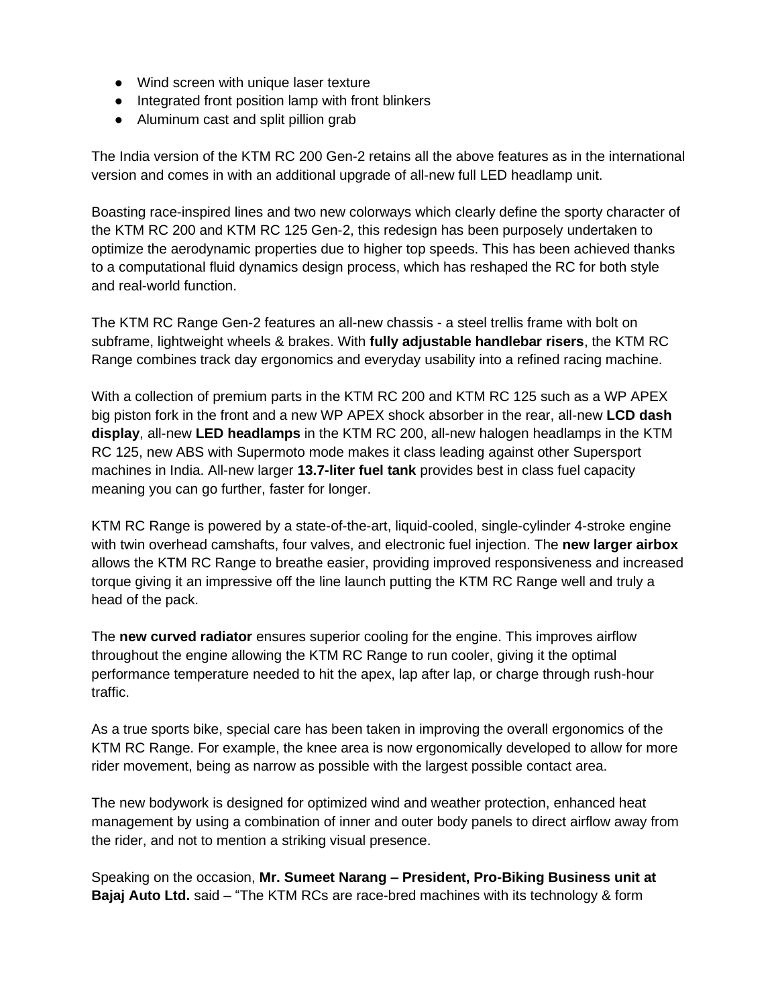- Wind screen with unique laser texture
- Integrated front position lamp with front blinkers
- Aluminum cast and split pillion grab

The India version of the KTM RC 200 Gen-2 retains all the above features as in the international version and comes in with an additional upgrade of all-new full LED headlamp unit.

Boasting race-inspired lines and two new colorways which clearly define the sporty character of the KTM RC 200 and KTM RC 125 Gen-2, this redesign has been purposely undertaken to optimize the aerodynamic properties due to higher top speeds. This has been achieved thanks to a computational fluid dynamics design process, which has reshaped the RC for both style and real-world function.

The KTM RC Range Gen-2 features an all-new chassis - a steel trellis frame with bolt on subframe, lightweight wheels & brakes. With **fully adjustable handlebar risers**, the KTM RC Range combines track day ergonomics and everyday usability into a refined racing machine.

With a collection of premium parts in the KTM RC 200 and KTM RC 125 such as a WP APEX big piston fork in the front and a new WP APEX shock absorber in the rear, all-new **LCD dash display**, all-new **LED headlamps** in the KTM RC 200, all-new halogen headlamps in the KTM RC 125, new ABS with Supermoto mode makes it class leading against other Supersport machines in India. All-new larger **13.7-liter fuel tank** provides best in class fuel capacity meaning you can go further, faster for longer.

KTM RC Range is powered by a state-of-the-art, liquid-cooled, single-cylinder 4-stroke engine with twin overhead camshafts, four valves, and electronic fuel injection. The **new larger airbox** allows the KTM RC Range to breathe easier, providing improved responsiveness and increased torque giving it an impressive off the line launch putting the KTM RC Range well and truly a head of the pack.

The **new curved radiator** ensures superior cooling for the engine. This improves airflow throughout the engine allowing the KTM RC Range to run cooler, giving it the optimal performance temperature needed to hit the apex, lap after lap, or charge through rush-hour traffic.

As a true sports bike, special care has been taken in improving the overall ergonomics of the KTM RC Range. For example, the knee area is now ergonomically developed to allow for more rider movement, being as narrow as possible with the largest possible contact area.

The new bodywork is designed for optimized wind and weather protection, enhanced heat management by using a combination of inner and outer body panels to direct airflow away from the rider, and not to mention a striking visual presence.

Speaking on the occasion, **Mr. Sumeet Narang – President, Pro-Biking Business unit at Bajaj Auto Ltd.** said – "The KTM RCs are race-bred machines with its technology & form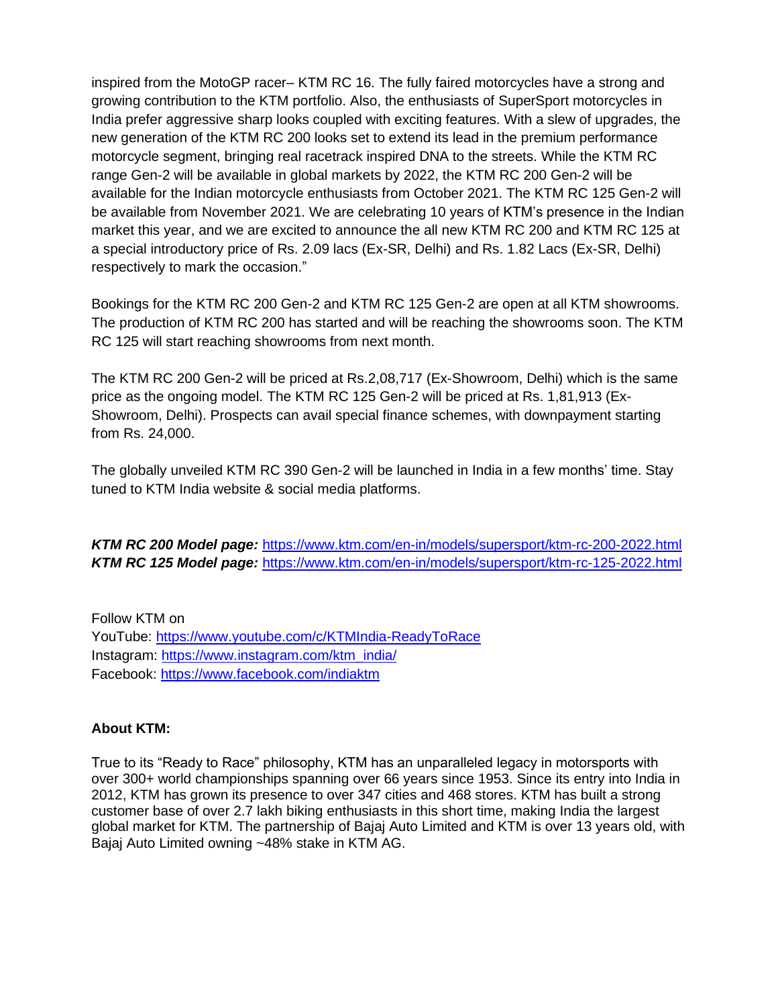inspired from the MotoGP racer– KTM RC 16. The fully faired motorcycles have a strong and growing contribution to the KTM portfolio. Also, the enthusiasts of SuperSport motorcycles in India prefer aggressive sharp looks coupled with exciting features. With a slew of upgrades, the new generation of the KTM RC 200 looks set to extend its lead in the premium performance motorcycle segment, bringing real racetrack inspired DNA to the streets. While the KTM RC range Gen-2 will be available in global markets by 2022, the KTM RC 200 Gen-2 will be available for the Indian motorcycle enthusiasts from October 2021. The KTM RC 125 Gen-2 will be available from November 2021. We are celebrating 10 years of KTM's presence in the Indian market this year, and we are excited to announce the all new KTM RC 200 and KTM RC 125 at a special introductory price of Rs. 2.09 lacs (Ex-SR, Delhi) and Rs. 1.82 Lacs (Ex-SR, Delhi) respectively to mark the occasion."

Bookings for the KTM RC 200 Gen-2 and KTM RC 125 Gen-2 are open at all KTM showrooms. The production of KTM RC 200 has started and will be reaching the showrooms soon. The KTM RC 125 will start reaching showrooms from next month.

The KTM RC 200 Gen-2 will be priced at Rs.2,08,717 (Ex-Showroom, Delhi) which is the same price as the ongoing model. The KTM RC 125 Gen-2 will be priced at Rs. 1,81,913 (Ex-Showroom, Delhi). Prospects can avail special finance schemes, with downpayment starting from Rs. 24,000.

The globally unveiled KTM RC 390 Gen-2 will be launched in India in a few months' time. Stay tuned to KTM India website & social media platforms.

*KTM RC 200 Model page:* <https://www.ktm.com/en-in/models/supersport/ktm-rc-200-2022.html> *KTM RC 125 Model page:* <https://www.ktm.com/en-in/models/supersport/ktm-rc-125-2022.html>

Follow KTM on YouTube:<https://www.youtube.com/c/KTMIndia-ReadyToRace> Instagram: [https://www.instagram.com/ktm\\_india/](https://www.instagram.com/ktm_india/) Facebook:<https://www.facebook.com/indiaktm>

## **About KTM:**

True to its "Ready to Race" philosophy, KTM has an unparalleled legacy in motorsports with over 300+ world championships spanning over 66 years since 1953. Since its entry into India in 2012, KTM has grown its presence to over 347 cities and 468 stores. KTM has built a strong customer base of over 2.7 lakh biking enthusiasts in this short time, making India the largest global market for KTM. The partnership of Bajaj Auto Limited and KTM is over 13 years old, with Bajaj Auto Limited owning ~48% stake in KTM AG.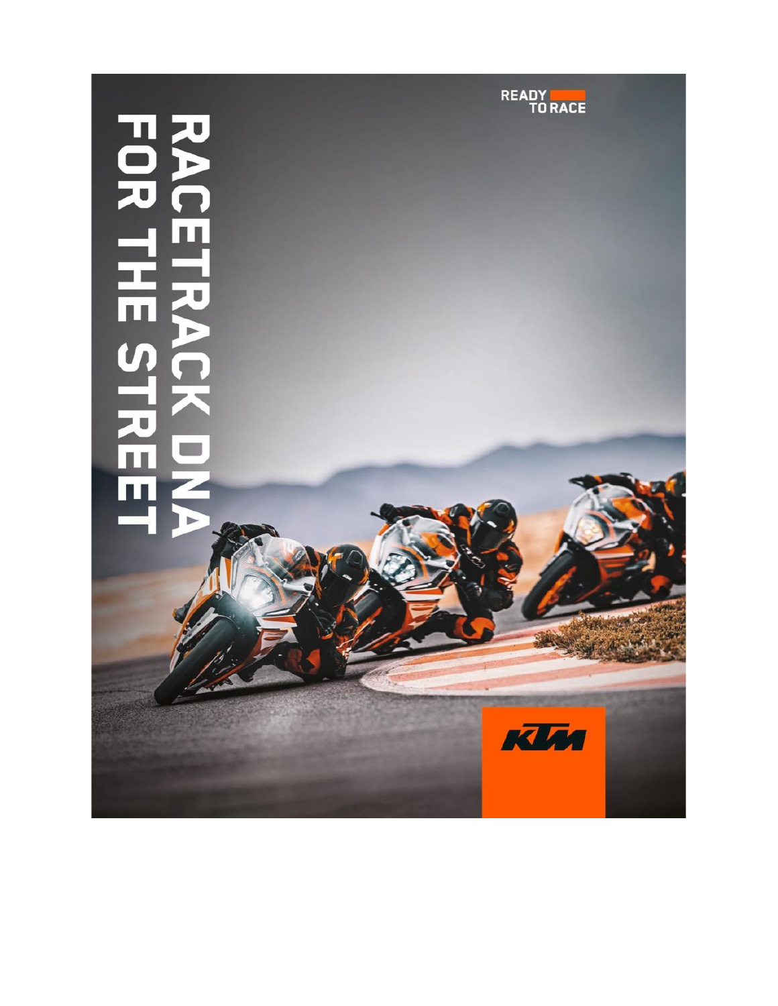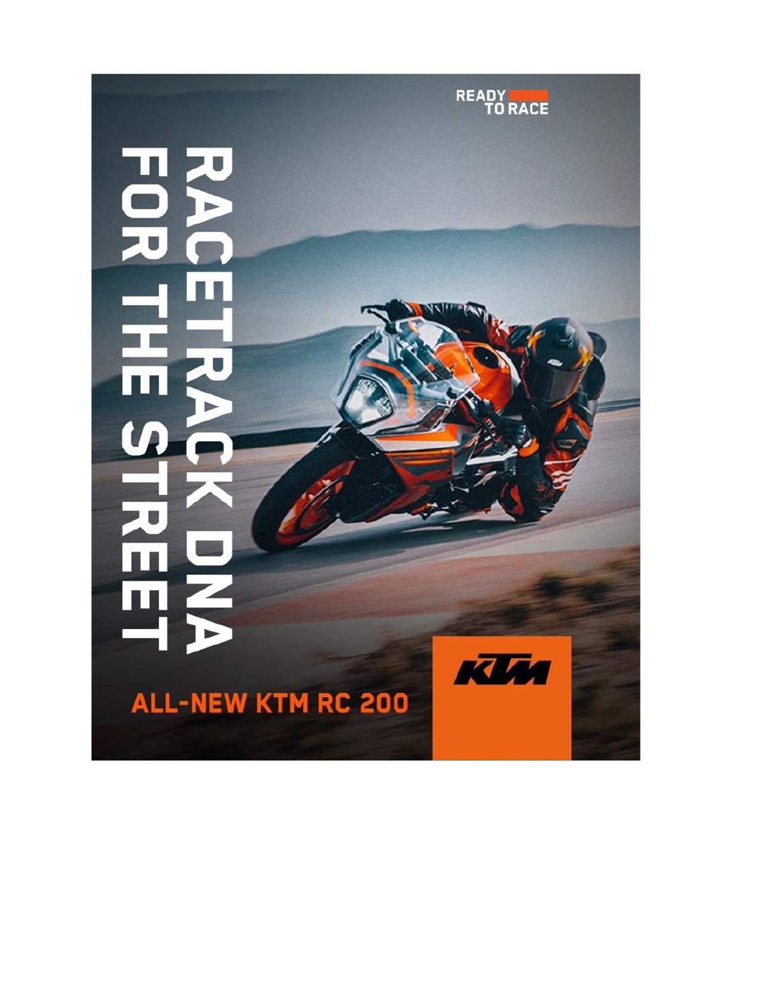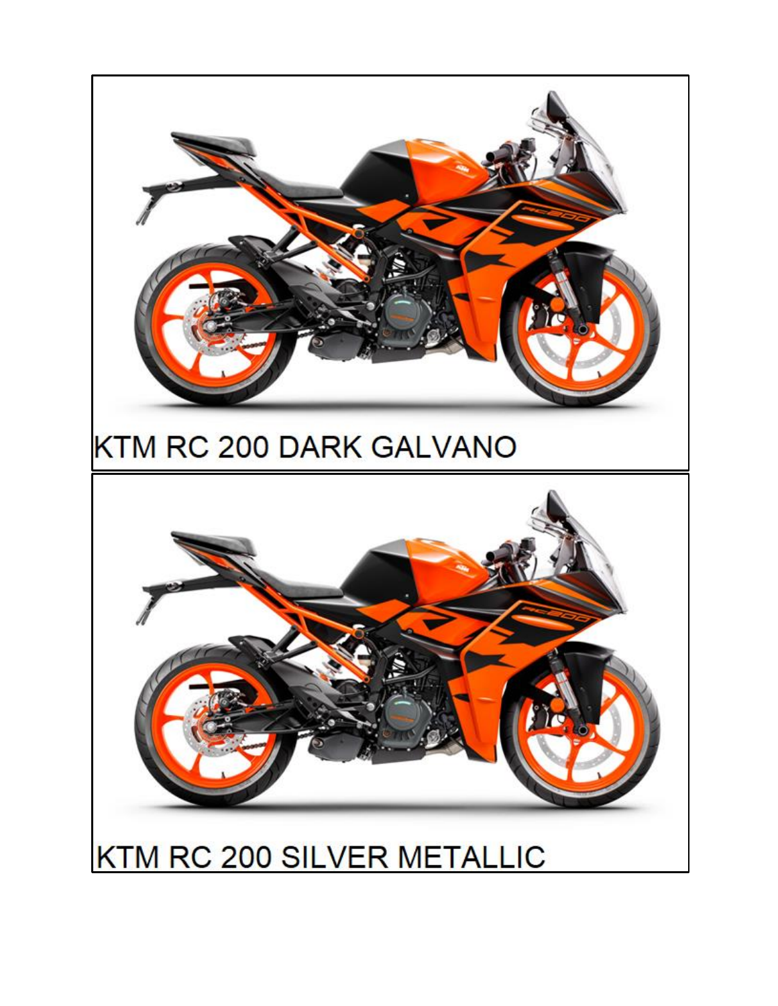